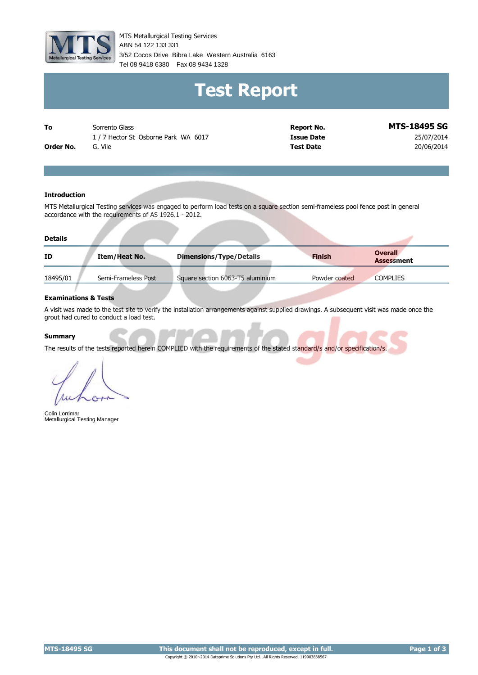

MTS Metallurgical Testing Services 3/52 Cocos Drive Bibra Lake Western Australia 6163 Tel 08 9418 6380 Fax 08 9434 1328 ABN 54 122 133 331

# **Test Report**

| To        | Sorrento Glass                     |
|-----------|------------------------------------|
|           | 1/7 Hector St Osborne Park WA 6017 |
| Order No. | G. Vile                            |

**Report No. MTS-18495 SG Issue Date** 25/07/2014 **Test Date** 20/06/2014

#### **Introduction**

MTS Metallurgical Testing services was engaged to perform load tests on a square section semi-frameless pool fence post in general accordance with the requirements of AS 1926.1 - 2012.

| I<br>M.<br>.,<br>. .<br>v<br>×<br>M.<br>۰. |
|--------------------------------------------|
|--------------------------------------------|

| Details  |                     |                                  |               |                                     |  |
|----------|---------------------|----------------------------------|---------------|-------------------------------------|--|
| ID       | Item/Heat No.       | <b>Dimensions/Type/Details</b>   | <b>Finish</b> | <b>Overall</b><br><b>Assessment</b> |  |
| 18495/01 | Semi-Frameless Post | Square section 6063-T5 aluminium | Powder coated | <b>COMPLIES</b>                     |  |
|          |                     |                                  |               |                                     |  |

#### **Examinations & Tests**

A visit was made to the test site to verify the installation arrangements against supplied drawings. A subsequent visit was made once the grout had cured to conduct a load test.

#### **Summary**

The results of the tests reported herein COMPLIED with the requirements of the stated standard/s and/or specification/s.

Colin Lorrimar Metallurgical Testing Manager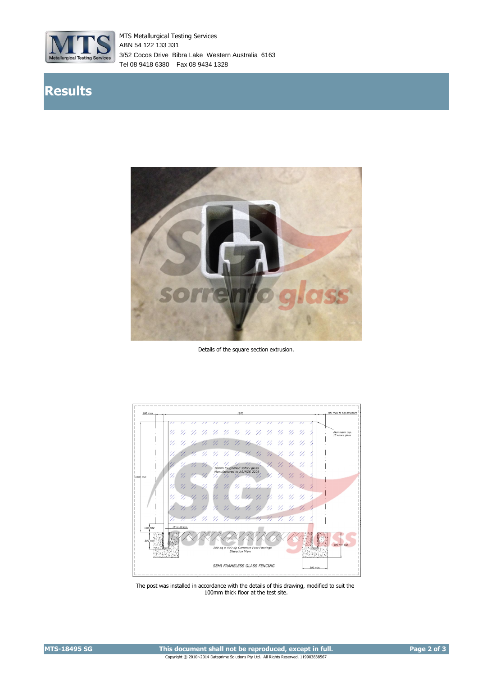

MTS Metallurgical Testing Services 3/52 Cocos Drive Bibra Lake Western Australia 6163 Tel 08 9418 6380 Fax 08 9434 1328 ABN 54 122 133 331

### **Results**



Details of the square section extrusion.



The post was installed in accordance with the details of this drawing, modified to suit the 100mm thick floor at the test site.